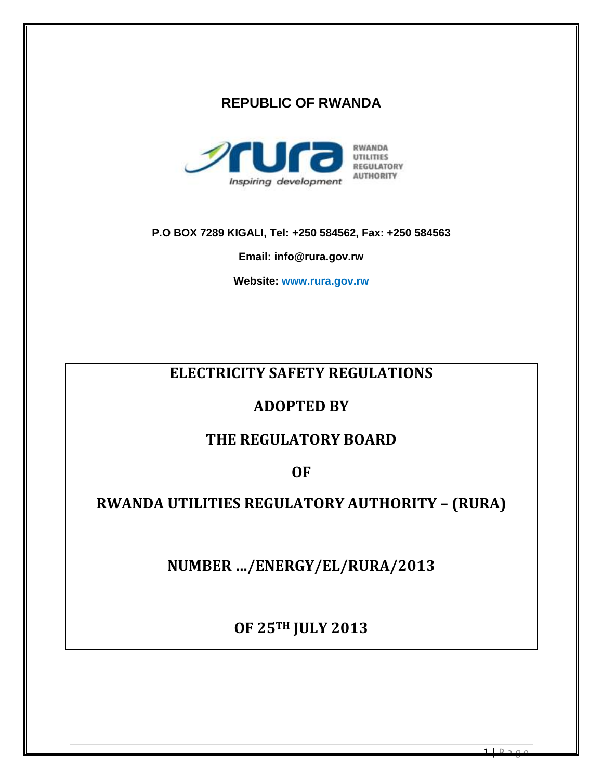# **REPUBLIC OF RWANDA**



**P.O BOX 7289 KIGALI, Tel: +250 584562, Fax: +250 584563** 

**Email: info@rura.gov.rw**

**Website: www.rura.gov.rw**

# **ELECTRICITY SAFETY REGULATIONS**

# **ADOPTED BY**

# **THE REGULATORY BOARD**

**OF**

# **RWANDA UTILITIES REGULATORY AUTHORITY – (RURA)**

**NUMBER …/ENERGY/EL/RURA/2013**

**OF 25TH JULY 2013**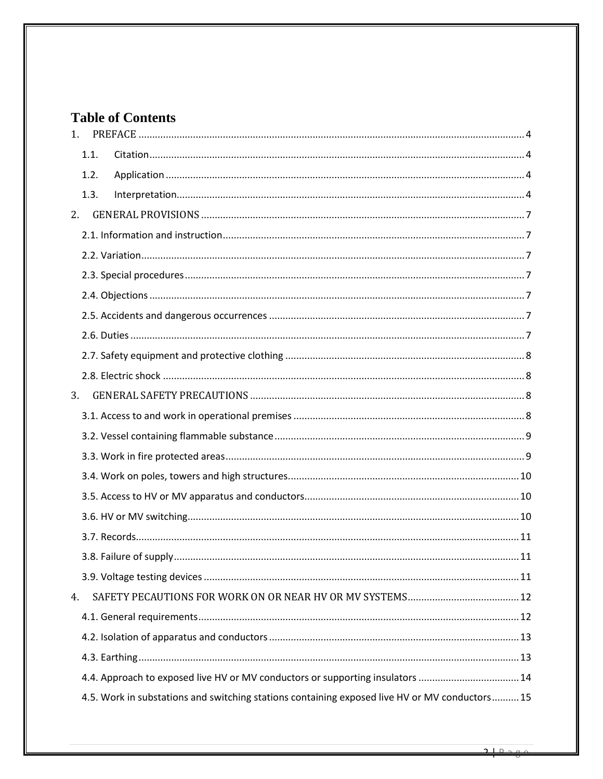# **Table of Contents**

| 1.                                                                                             |
|------------------------------------------------------------------------------------------------|
| 1.1.                                                                                           |
| 1.2.                                                                                           |
| 1.3.                                                                                           |
| 2.                                                                                             |
|                                                                                                |
|                                                                                                |
|                                                                                                |
|                                                                                                |
|                                                                                                |
|                                                                                                |
|                                                                                                |
|                                                                                                |
| 3.                                                                                             |
|                                                                                                |
|                                                                                                |
|                                                                                                |
|                                                                                                |
|                                                                                                |
|                                                                                                |
|                                                                                                |
|                                                                                                |
|                                                                                                |
| 4.                                                                                             |
|                                                                                                |
|                                                                                                |
|                                                                                                |
| 4.4. Approach to exposed live HV or MV conductors or supporting insulators 14                  |
| 4.5. Work in substations and switching stations containing exposed live HV or MV conductors 15 |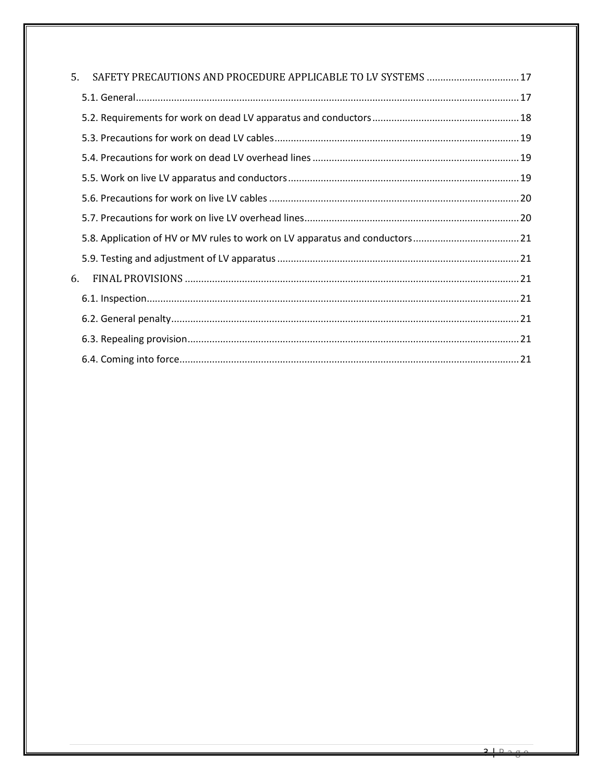| 5. |  |  |
|----|--|--|
|    |  |  |
|    |  |  |
|    |  |  |
|    |  |  |
|    |  |  |
|    |  |  |
|    |  |  |
|    |  |  |
|    |  |  |
| 6. |  |  |
|    |  |  |
|    |  |  |
|    |  |  |
|    |  |  |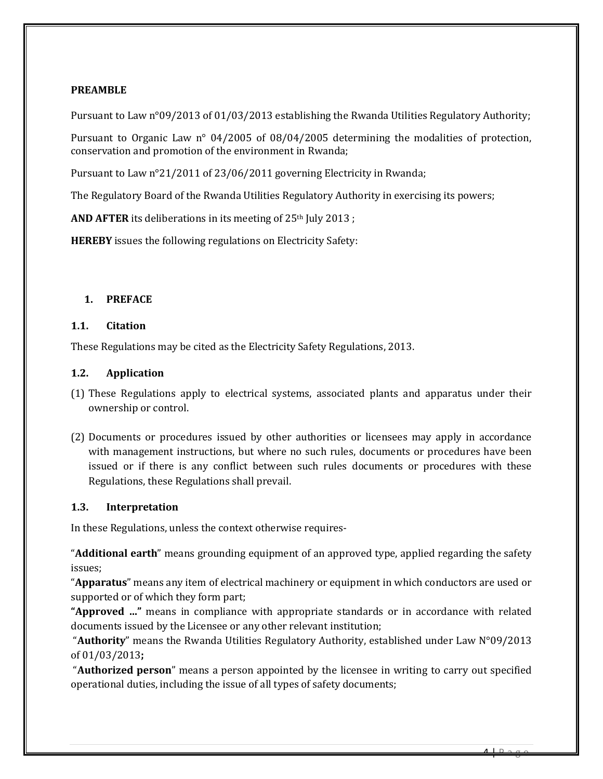#### **PREAMBLE**

Pursuant to Law n°09/2013 of 01/03/2013 establishing the Rwanda Utilities Regulatory Authority;

Pursuant to Organic Law n° 04/2005 of 08/04/2005 determining the modalities of protection, conservation and promotion of the environment in Rwanda;

Pursuant to Law n°21/2011 of 23/06/2011 governing Electricity in Rwanda;

The Regulatory Board of the Rwanda Utilities Regulatory Authority in exercising its powers;

**AND AFTER** its deliberations in its meeting of 25<sup>th</sup> July 2013;

**HEREBY** issues the following regulations on Electricity Safety:

#### <span id="page-3-0"></span>**1. PREFACE**

#### <span id="page-3-1"></span>**1.1. Citation**

These Regulations may be cited as the Electricity Safety Regulations, 2013.

#### <span id="page-3-2"></span>**1.2. Application**

- (1) These Regulations apply to electrical systems, associated plants and apparatus under their ownership or control.
- (2) Documents or procedures issued by other authorities or licensees may apply in accordance with management instructions, but where no such rules, documents or procedures have been issued or if there is any conflict between such rules documents or procedures with these Regulations, these Regulations shall prevail.

#### <span id="page-3-3"></span>**1.3. Interpretation**

In these Regulations, unless the context otherwise requires-

"**Additional earth**" means grounding equipment of an approved type, applied regarding the safety issues;

"**Apparatus**" means any item of electrical machinery or equipment in which conductors are used or supported or of which they form part;

**"Approved …"** means in compliance with appropriate standards or in accordance with related documents issued by the Licensee or any other relevant institution;

"**Authority**" means the Rwanda Utilities Regulatory Authority, established under Law N°09/2013 of 01/03/2013**;**

"**Authorized person**" means a person appointed by the licensee in writing to carry out specified operational duties, including the issue of all types of safety documents;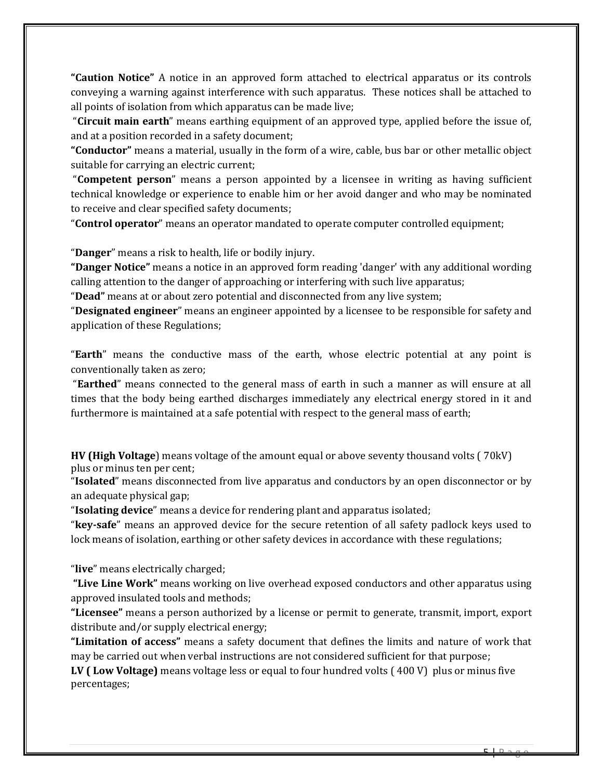**"Caution Notice"** A notice in an approved form attached to electrical apparatus or its controls conveying a warning against interference with such apparatus. These notices shall be attached to all points of isolation from which apparatus can be made live;

"**Circuit main earth**" means earthing equipment of an approved type, applied before the issue of, and at a position recorded in a safety document;

**"Conductor"** means a material, usually in the form of a wire, cable, bus bar or other metallic object suitable for carrying an electric current;

"**Competent person**" means a person appointed by a licensee in writing as having sufficient technical knowledge or experience to enable him or her avoid danger and who may be nominated to receive and clear specified safety documents;

"**Control operator**" means an operator mandated to operate computer controlled equipment;

"**Danger**" means a risk to health, life or bodily injury.

**"Danger Notice"** means a notice in an approved form reading 'danger' with any additional wording calling attention to the danger of approaching or interfering with such live apparatus;

"**Dead"** means at or about zero potential and disconnected from any live system;

"**Designated engineer**" means an engineer appointed by a licensee to be responsible for safety and application of these Regulations;

"**Earth**" means the conductive mass of the earth, whose electric potential at any point is conventionally taken as zero;

"**Earthed**" means connected to the general mass of earth in such a manner as will ensure at all times that the body being earthed discharges immediately any electrical energy stored in it and furthermore is maintained at a safe potential with respect to the general mass of earth;

**HV (High Voltage**) means voltage of the amount equal or above seventy thousand volts ( 70kV) plus or minus ten per cent;

"**Isolated**" means disconnected from live apparatus and conductors by an open disconnector or by an adequate physical gap;

"**Isolating device**" means a device for rendering plant and apparatus isolated;

"**key-safe**" means an approved device for the secure retention of all safety padlock keys used to lock means of isolation, earthing or other safety devices in accordance with these regulations;

"**live**" means electrically charged;

**"Live Line Work"** means working on live overhead exposed conductors and other apparatus using approved insulated tools and methods;

**"Licensee"** means a person authorized by a license or permit to generate, transmit, import, export distribute and/or supply electrical energy;

**"Limitation of access"** means a safety document that defines the limits and nature of work that may be carried out when verbal instructions are not considered sufficient for that purpose;

**LV ( Low Voltage)** means voltage less or equal to four hundred volts ( 400 V) plus or minus five percentages;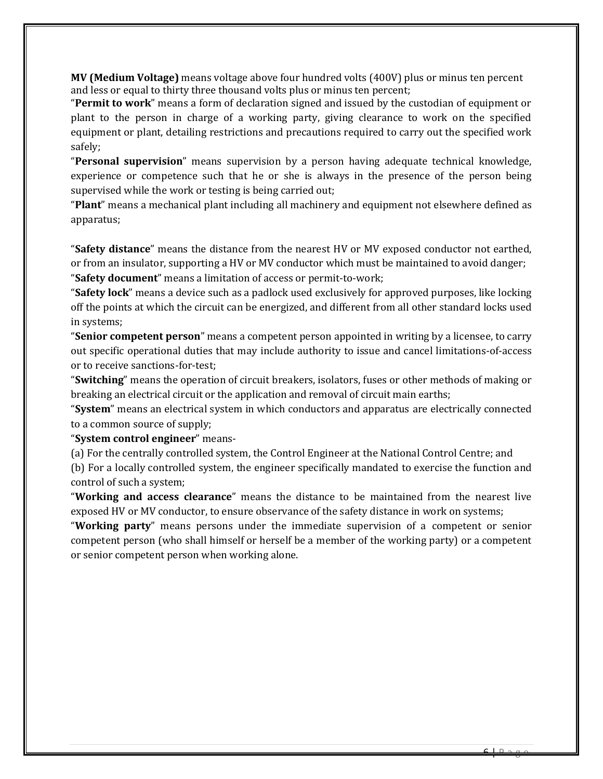**MV (Medium Voltage)** means voltage above four hundred volts (400V) plus or minus ten percent and less or equal to thirty three thousand volts plus or minus ten percent;

"**Permit to work**" means a form of declaration signed and issued by the custodian of equipment or plant to the person in charge of a working party, giving clearance to work on the specified equipment or plant, detailing restrictions and precautions required to carry out the specified work safely;

"**Personal supervision**" means supervision by a person having adequate technical knowledge, experience or competence such that he or she is always in the presence of the person being supervised while the work or testing is being carried out;

"**Plant**" means a mechanical plant including all machinery and equipment not elsewhere defined as apparatus;

"**Safety distance**" means the distance from the nearest HV or MV exposed conductor not earthed, or from an insulator, supporting a HV or MV conductor which must be maintained to avoid danger; "**Safety document**" means a limitation of access or permit-to-work;

"**Safety lock**" means a device such as a padlock used exclusively for approved purposes, like locking off the points at which the circuit can be energized, and different from all other standard locks used in systems;

"**Senior competent person**" means a competent person appointed in writing by a licensee, to carry out specific operational duties that may include authority to issue and cancel limitations-of-access or to receive sanctions-for-test;

"**Switching**" means the operation of circuit breakers, isolators, fuses or other methods of making or breaking an electrical circuit or the application and removal of circuit main earths;

"**System**" means an electrical system in which conductors and apparatus are electrically connected to a common source of supply;

"**System control engineer**" means-

(a) For the centrally controlled system, the Control Engineer at the National Control Centre; and

(b) For a locally controlled system, the engineer specifically mandated to exercise the function and control of such a system;

"**Working and access clearance**" means the distance to be maintained from the nearest live exposed HV or MV conductor, to ensure observance of the safety distance in work on systems;

"**Working party**" means persons under the immediate supervision of a competent or senior competent person (who shall himself or herself be a member of the working party) or a competent or senior competent person when working alone.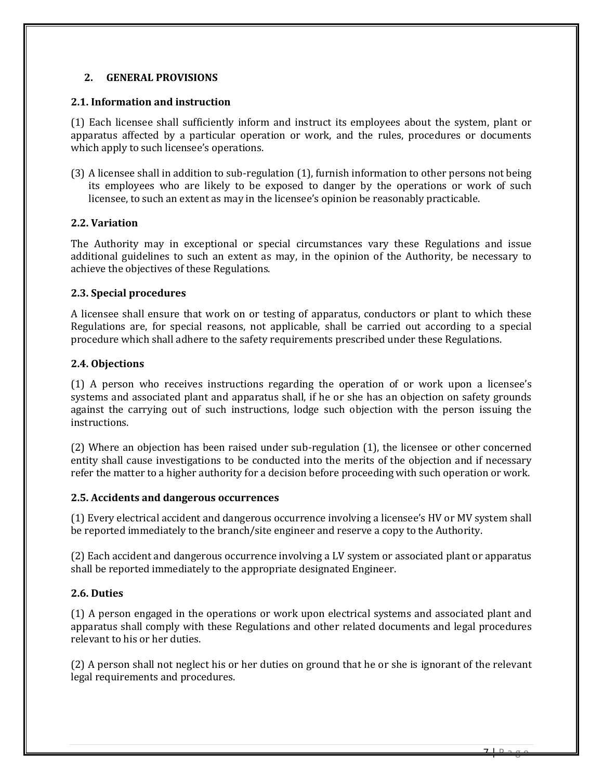#### <span id="page-6-0"></span>**2. GENERAL PROVISIONS**

#### <span id="page-6-1"></span>**2.1. Information and instruction**

(1) Each licensee shall sufficiently inform and instruct its employees about the system, plant or apparatus affected by a particular operation or work, and the rules, procedures or documents which apply to such licensee's operations.

(3) A licensee shall in addition to sub-regulation (1), furnish information to other persons not being its employees who are likely to be exposed to danger by the operations or work of such licensee, to such an extent as may in the licensee's opinion be reasonably practicable.

#### <span id="page-6-2"></span>**2.2. Variation**

The Authority may in exceptional or special circumstances vary these Regulations and issue additional guidelines to such an extent as may, in the opinion of the Authority, be necessary to achieve the objectives of these Regulations.

#### <span id="page-6-3"></span>**2.3. Special procedures**

A licensee shall ensure that work on or testing of apparatus, conductors or plant to which these Regulations are, for special reasons, not applicable, shall be carried out according to a special procedure which shall adhere to the safety requirements prescribed under these Regulations.

#### <span id="page-6-4"></span>**2.4. Objections**

(1) A person who receives instructions regarding the operation of or work upon a licensee's systems and associated plant and apparatus shall, if he or she has an objection on safety grounds against the carrying out of such instructions, lodge such objection with the person issuing the instructions.

(2) Where an objection has been raised under sub-regulation (1), the licensee or other concerned entity shall cause investigations to be conducted into the merits of the objection and if necessary refer the matter to a higher authority for a decision before proceeding with such operation or work.

#### <span id="page-6-5"></span>**2.5. Accidents and dangerous occurrences**

(1) Every electrical accident and dangerous occurrence involving a licensee's HV or MV system shall be reported immediately to the branch/site engineer and reserve a copy to the Authority.

(2) Each accident and dangerous occurrence involving a LV system or associated plant or apparatus shall be reported immediately to the appropriate designated Engineer.

# <span id="page-6-6"></span>**2.6. Duties**

(1) A person engaged in the operations or work upon electrical systems and associated plant and apparatus shall comply with these Regulations and other related documents and legal procedures relevant to his or her duties.

(2) A person shall not neglect his or her duties on ground that he or she is ignorant of the relevant legal requirements and procedures.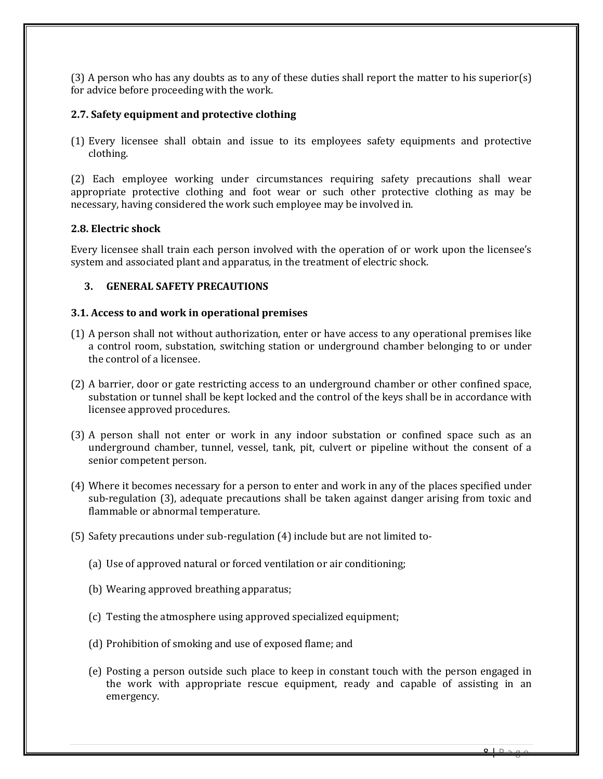(3) A person who has any doubts as to any of these duties shall report the matter to his superior(s) for advice before proceeding with the work.

#### <span id="page-7-0"></span>**2.7. Safety equipment and protective clothing**

(1) Every licensee shall obtain and issue to its employees safety equipments and protective clothing.

(2) Each employee working under circumstances requiring safety precautions shall wear appropriate protective clothing and foot wear or such other protective clothing as may be necessary, having considered the work such employee may be involved in.

#### <span id="page-7-1"></span>**2.8. Electric shock**

Every licensee shall train each person involved with the operation of or work upon the licensee's system and associated plant and apparatus, in the treatment of electric shock.

# <span id="page-7-2"></span>**3. GENERAL SAFETY PRECAUTIONS**

#### <span id="page-7-3"></span>**3.1. Access to and work in operational premises**

- (1) A person shall not without authorization, enter or have access to any operational premises like a control room, substation, switching station or underground chamber belonging to or under the control of a licensee.
- (2) A barrier, door or gate restricting access to an underground chamber or other confined space, substation or tunnel shall be kept locked and the control of the keys shall be in accordance with licensee approved procedures.
- (3) A person shall not enter or work in any indoor substation or confined space such as an underground chamber, tunnel, vessel, tank, pit, culvert or pipeline without the consent of a senior competent person.
- (4) Where it becomes necessary for a person to enter and work in any of the places specified under sub-regulation (3), adequate precautions shall be taken against danger arising from toxic and flammable or abnormal temperature.
- (5) Safety precautions under sub-regulation (4) include but are not limited to-
	- (a) Use of approved natural or forced ventilation or air conditioning;
	- (b) Wearing approved breathing apparatus;
	- (c) Testing the atmosphere using approved specialized equipment;
	- (d) Prohibition of smoking and use of exposed flame; and
	- (e) Posting a person outside such place to keep in constant touch with the person engaged in the work with appropriate rescue equipment, ready and capable of assisting in an emergency.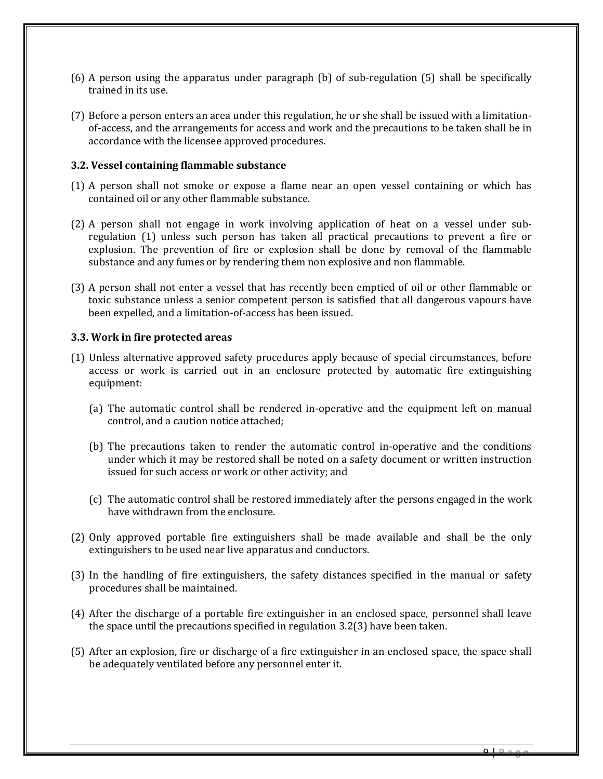- (6) A person using the apparatus under paragraph (b) of sub-regulation (5) shall be specifically trained in its use.
- (7) Before a person enters an area under this regulation, he or she shall be issued with a limitationof-access, and the arrangements for access and work and the precautions to be taken shall be in accordance with the licensee approved procedures.

#### <span id="page-8-0"></span>**3.2. Vessel containing flammable substance**

- (1) A person shall not smoke or expose a flame near an open vessel containing or which has contained oil or any other flammable substance.
- (2) A person shall not engage in work involving application of heat on a vessel under subregulation (1) unless such person has taken all practical precautions to prevent a fire or explosion. The prevention of fire or explosion shall be done by removal of the flammable substance and any fumes or by rendering them non explosive and non flammable.
- (3) A person shall not enter a vessel that has recently been emptied of oil or other flammable or toxic substance unless a senior competent person is satisfied that all dangerous vapours have been expelled, and a limitation-of-access has been issued.

#### <span id="page-8-1"></span>**3.3. Work in fire protected areas**

- (1) Unless alternative approved safety procedures apply because of special circumstances, before access or work is carried out in an enclosure protected by automatic fire extinguishing equipment:
	- (a) The automatic control shall be rendered in-operative and the equipment left on manual control, and a caution notice attached;
	- (b) The precautions taken to render the automatic control in-operative and the conditions under which it may be restored shall be noted on a safety document or written instruction issued for such access or work or other activity; and
	- (c) The automatic control shall be restored immediately after the persons engaged in the work have withdrawn from the enclosure.
- (2) Only approved portable fire extinguishers shall be made available and shall be the only extinguishers to be used near live apparatus and conductors.
- (3) In the handling of fire extinguishers, the safety distances specified in the manual or safety procedures shall be maintained.
- (4) After the discharge of a portable fire extinguisher in an enclosed space, personnel shall leave the space until the precautions specified in regulation 3.2(3) have been taken.
- (5) After an explosion, fire or discharge of a fire extinguisher in an enclosed space, the space shall be adequately ventilated before any personnel enter it.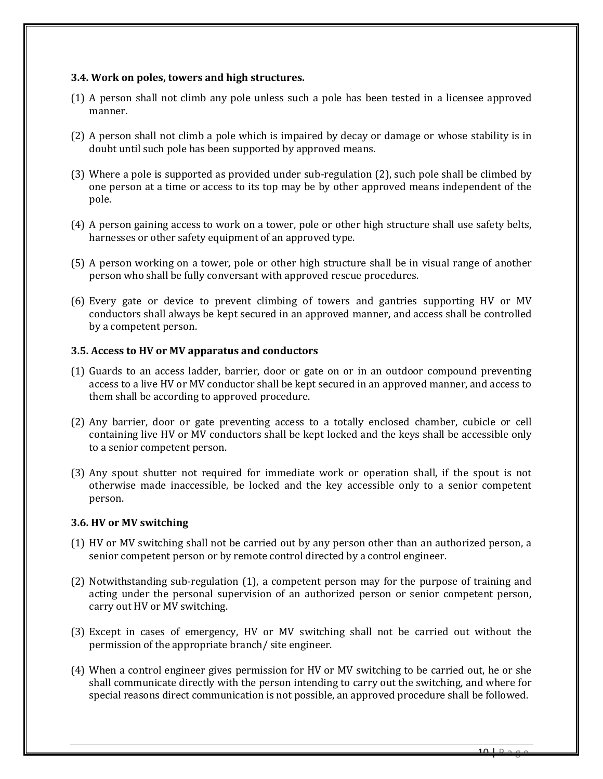#### <span id="page-9-0"></span>**3.4. Work on poles, towers and high structures.**

- (1) A person shall not climb any pole unless such a pole has been tested in a licensee approved manner.
- (2) A person shall not climb a pole which is impaired by decay or damage or whose stability is in doubt until such pole has been supported by approved means.
- (3) Where a pole is supported as provided under sub-regulation (2), such pole shall be climbed by one person at a time or access to its top may be by other approved means independent of the pole.
- (4) A person gaining access to work on a tower, pole or other high structure shall use safety belts, harnesses or other safety equipment of an approved type.
- (5) A person working on a tower, pole or other high structure shall be in visual range of another person who shall be fully conversant with approved rescue procedures.
- (6) Every gate or device to prevent climbing of towers and gantries supporting HV or MV conductors shall always be kept secured in an approved manner, and access shall be controlled by a competent person.

#### <span id="page-9-1"></span>**3.5. Access to HV or MV apparatus and conductors**

- (1) Guards to an access ladder, barrier, door or gate on or in an outdoor compound preventing access to a live HV or MV conductor shall be kept secured in an approved manner, and access to them shall be according to approved procedure.
- (2) Any barrier, door or gate preventing access to a totally enclosed chamber, cubicle or cell containing live HV or MV conductors shall be kept locked and the keys shall be accessible only to a senior competent person.
- (3) Any spout shutter not required for immediate work or operation shall, if the spout is not otherwise made inaccessible, be locked and the key accessible only to a senior competent person.

#### <span id="page-9-2"></span>**3.6. HV or MV switching**

- (1) HV or MV switching shall not be carried out by any person other than an authorized person, a senior competent person or by remote control directed by a control engineer.
- (2) Notwithstanding sub-regulation (1), a competent person may for the purpose of training and acting under the personal supervision of an authorized person or senior competent person, carry out HV or MV switching.
- (3) Except in cases of emergency, HV or MV switching shall not be carried out without the permission of the appropriate branch/ site engineer.
- (4) When a control engineer gives permission for HV or MV switching to be carried out, he or she shall communicate directly with the person intending to carry out the switching, and where for special reasons direct communication is not possible, an approved procedure shall be followed.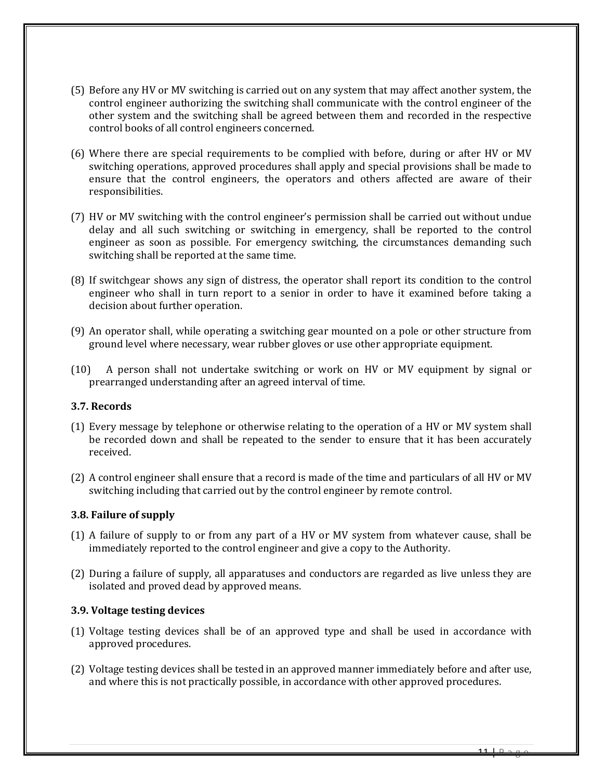- (5) Before any HV or MV switching is carried out on any system that may affect another system, the control engineer authorizing the switching shall communicate with the control engineer of the other system and the switching shall be agreed between them and recorded in the respective control books of all control engineers concerned.
- (6) Where there are special requirements to be complied with before, during or after HV or MV switching operations, approved procedures shall apply and special provisions shall be made to ensure that the control engineers, the operators and others affected are aware of their responsibilities.
- (7) HV or MV switching with the control engineer's permission shall be carried out without undue delay and all such switching or switching in emergency, shall be reported to the control engineer as soon as possible. For emergency switching, the circumstances demanding such switching shall be reported at the same time.
- (8) If switchgear shows any sign of distress, the operator shall report its condition to the control engineer who shall in turn report to a senior in order to have it examined before taking a decision about further operation.
- (9) An operator shall, while operating a switching gear mounted on a pole or other structure from ground level where necessary, wear rubber gloves or use other appropriate equipment.
- (10) A person shall not undertake switching or work on HV or MV equipment by signal or prearranged understanding after an agreed interval of time.

#### <span id="page-10-0"></span>**3.7. Records**

- (1) Every message by telephone or otherwise relating to the operation of a HV or MV system shall be recorded down and shall be repeated to the sender to ensure that it has been accurately received.
- (2) A control engineer shall ensure that a record is made of the time and particulars of all HV or MV switching including that carried out by the control engineer by remote control.

#### <span id="page-10-1"></span>**3.8. Failure of supply**

- (1) A failure of supply to or from any part of a HV or MV system from whatever cause, shall be immediately reported to the control engineer and give a copy to the Authority.
- (2) During a failure of supply, all apparatuses and conductors are regarded as live unless they are isolated and proved dead by approved means.

#### <span id="page-10-2"></span>**3.9. Voltage testing devices**

- (1) Voltage testing devices shall be of an approved type and shall be used in accordance with approved procedures.
- (2) Voltage testing devices shall be tested in an approved manner immediately before and after use, and where this is not practically possible, in accordance with other approved procedures.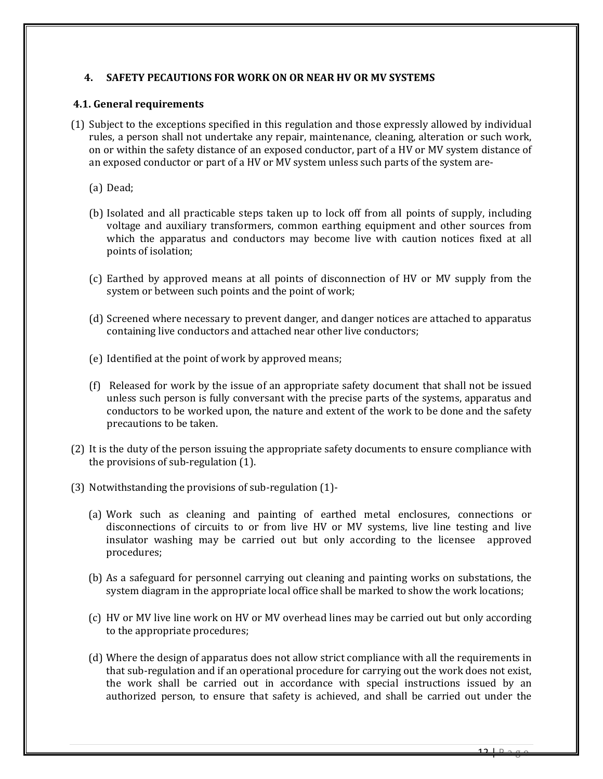#### <span id="page-11-0"></span>**4. SAFETY PECAUTIONS FOR WORK ON OR NEAR HV OR MV SYSTEMS**

#### <span id="page-11-1"></span>**4.1. General requirements**

- (1) Subject to the exceptions specified in this regulation and those expressly allowed by individual rules, a person shall not undertake any repair, maintenance, cleaning, alteration or such work, on or within the safety distance of an exposed conductor, part of a HV or MV system distance of an exposed conductor or part of a HV or MV system unless such parts of the system are-
	- (a) Dead;
	- (b) Isolated and all practicable steps taken up to lock off from all points of supply, including voltage and auxiliary transformers, common earthing equipment and other sources from which the apparatus and conductors may become live with caution notices fixed at all points of isolation;
	- (c) Earthed by approved means at all points of disconnection of HV or MV supply from the system or between such points and the point of work;
	- (d) Screened where necessary to prevent danger, and danger notices are attached to apparatus containing live conductors and attached near other live conductors;
	- (e) Identified at the point of work by approved means;
	- (f) Released for work by the issue of an appropriate safety document that shall not be issued unless such person is fully conversant with the precise parts of the systems, apparatus and conductors to be worked upon, the nature and extent of the work to be done and the safety precautions to be taken.
- (2) It is the duty of the person issuing the appropriate safety documents to ensure compliance with the provisions of sub-regulation (1).
- (3) Notwithstanding the provisions of sub-regulation (1)-
	- (a) Work such as cleaning and painting of earthed metal enclosures, connections or disconnections of circuits to or from live HV or MV systems, live line testing and live insulator washing may be carried out but only according to the licensee approved procedures;
	- (b) As a safeguard for personnel carrying out cleaning and painting works on substations, the system diagram in the appropriate local office shall be marked to show the work locations;
	- (c) HV or MV live line work on HV or MV overhead lines may be carried out but only according to the appropriate procedures;
	- (d) Where the design of apparatus does not allow strict compliance with all the requirements in that sub-regulation and if an operational procedure for carrying out the work does not exist, the work shall be carried out in accordance with special instructions issued by an authorized person, to ensure that safety is achieved, and shall be carried out under the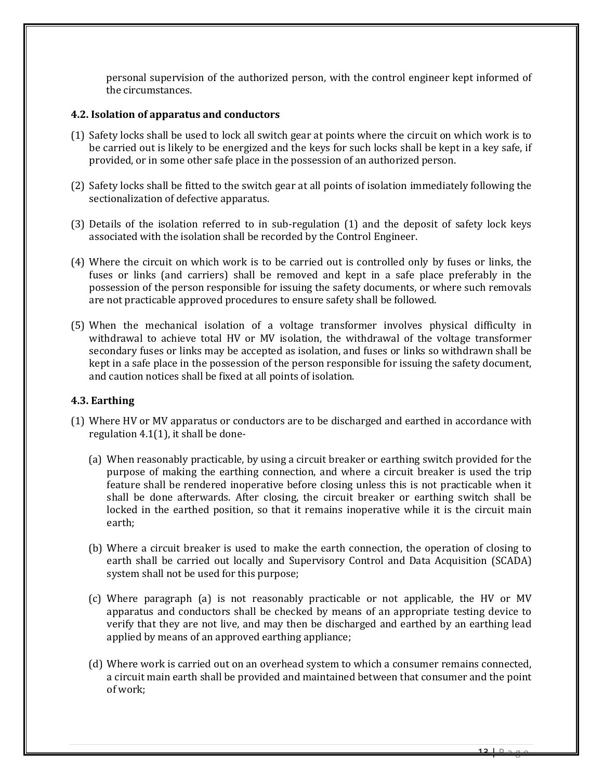personal supervision of the authorized person, with the control engineer kept informed of the circumstances.

#### <span id="page-12-0"></span>**4.2. Isolation of apparatus and conductors**

- (1) Safety locks shall be used to lock all switch gear at points where the circuit on which work is to be carried out is likely to be energized and the keys for such locks shall be kept in a key safe, if provided, or in some other safe place in the possession of an authorized person.
- (2) Safety locks shall be fitted to the switch gear at all points of isolation immediately following the sectionalization of defective apparatus.
- (3) Details of the isolation referred to in sub-regulation (1) and the deposit of safety lock keys associated with the isolation shall be recorded by the Control Engineer.
- (4) Where the circuit on which work is to be carried out is controlled only by fuses or links, the fuses or links (and carriers) shall be removed and kept in a safe place preferably in the possession of the person responsible for issuing the safety documents, or where such removals are not practicable approved procedures to ensure safety shall be followed.
- (5) When the mechanical isolation of a voltage transformer involves physical difficulty in withdrawal to achieve total HV or MV isolation, the withdrawal of the voltage transformer secondary fuses or links may be accepted as isolation, and fuses or links so withdrawn shall be kept in a safe place in the possession of the person responsible for issuing the safety document, and caution notices shall be fixed at all points of isolation.

# <span id="page-12-1"></span>**4.3. Earthing**

- (1) Where HV or MV apparatus or conductors are to be discharged and earthed in accordance with regulation 4.1(1), it shall be done-
	- (a) When reasonably practicable, by using a circuit breaker or earthing switch provided for the purpose of making the earthing connection, and where a circuit breaker is used the trip feature shall be rendered inoperative before closing unless this is not practicable when it shall be done afterwards. After closing, the circuit breaker or earthing switch shall be locked in the earthed position, so that it remains inoperative while it is the circuit main earth;
	- (b) Where a circuit breaker is used to make the earth connection, the operation of closing to earth shall be carried out locally and Supervisory Control and Data Acquisition (SCADA) system shall not be used for this purpose;
	- (c) Where paragraph (a) is not reasonably practicable or not applicable, the HV or MV apparatus and conductors shall be checked by means of an appropriate testing device to verify that they are not live, and may then be discharged and earthed by an earthing lead applied by means of an approved earthing appliance;
	- (d) Where work is carried out on an overhead system to which a consumer remains connected, a circuit main earth shall be provided and maintained between that consumer and the point of work;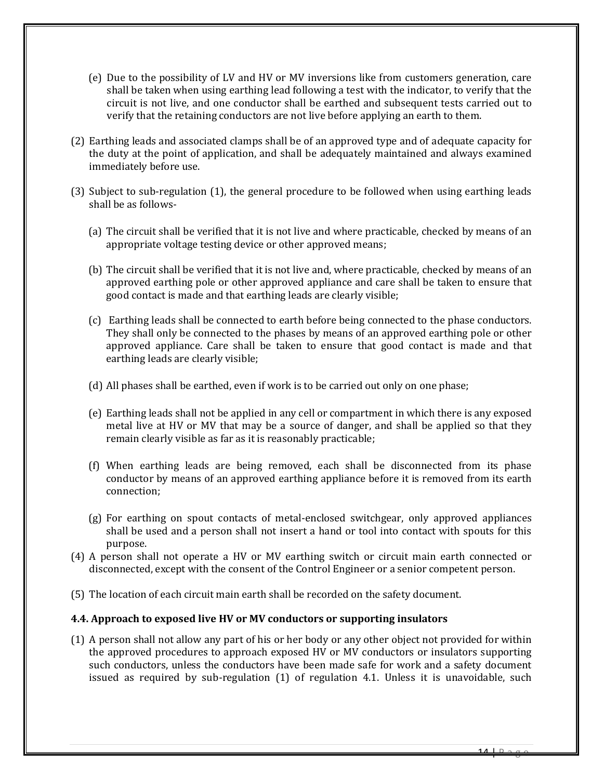- (e) Due to the possibility of LV and HV or MV inversions like from customers generation, care shall be taken when using earthing lead following a test with the indicator, to verify that the circuit is not live, and one conductor shall be earthed and subsequent tests carried out to verify that the retaining conductors are not live before applying an earth to them.
- (2) Earthing leads and associated clamps shall be of an approved type and of adequate capacity for the duty at the point of application, and shall be adequately maintained and always examined immediately before use.
- (3) Subject to sub-regulation (1), the general procedure to be followed when using earthing leads shall be as follows-
	- (a) The circuit shall be verified that it is not live and where practicable, checked by means of an appropriate voltage testing device or other approved means;
	- (b) The circuit shall be verified that it is not live and, where practicable, checked by means of an approved earthing pole or other approved appliance and care shall be taken to ensure that good contact is made and that earthing leads are clearly visible;
	- (c) Earthing leads shall be connected to earth before being connected to the phase conductors. They shall only be connected to the phases by means of an approved earthing pole or other approved appliance. Care shall be taken to ensure that good contact is made and that earthing leads are clearly visible;
	- (d) All phases shall be earthed, even if work is to be carried out only on one phase;
	- (e) Earthing leads shall not be applied in any cell or compartment in which there is any exposed metal live at HV or MV that may be a source of danger, and shall be applied so that they remain clearly visible as far as it is reasonably practicable;
	- (f) When earthing leads are being removed, each shall be disconnected from its phase conductor by means of an approved earthing appliance before it is removed from its earth connection;
	- (g) For earthing on spout contacts of metal-enclosed switchgear, only approved appliances shall be used and a person shall not insert a hand or tool into contact with spouts for this purpose.
- (4) A person shall not operate a HV or MV earthing switch or circuit main earth connected or disconnected, except with the consent of the Control Engineer or a senior competent person.
- <span id="page-13-0"></span>(5) The location of each circuit main earth shall be recorded on the safety document.

#### **4.4. Approach to exposed live HV or MV conductors or supporting insulators**

(1) A person shall not allow any part of his or her body or any other object not provided for within the approved procedures to approach exposed HV or MV conductors or insulators supporting such conductors, unless the conductors have been made safe for work and a safety document issued as required by sub-regulation (1) of regulation 4.1. Unless it is unavoidable, such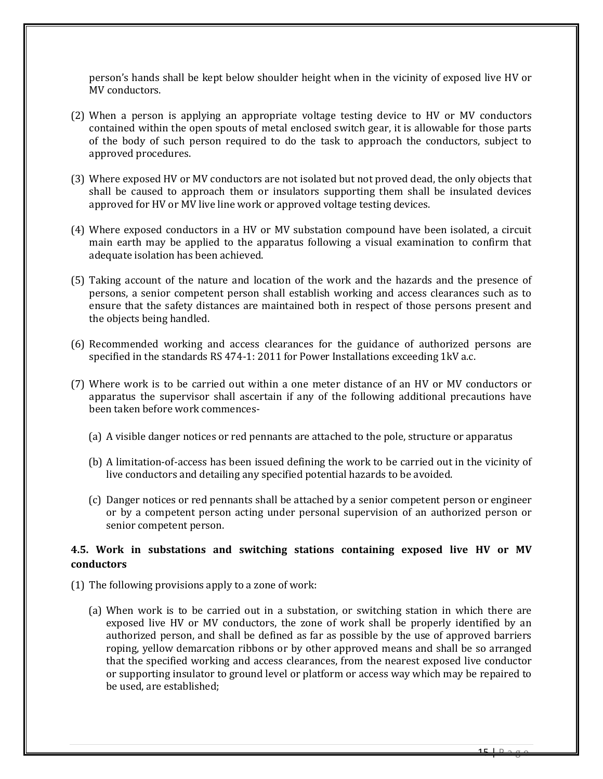person's hands shall be kept below shoulder height when in the vicinity of exposed live HV or MV conductors.

- (2) When a person is applying an appropriate voltage testing device to HV or MV conductors contained within the open spouts of metal enclosed switch gear, it is allowable for those parts of the body of such person required to do the task to approach the conductors, subject to approved procedures.
- (3) Where exposed HV or MV conductors are not isolated but not proved dead, the only objects that shall be caused to approach them or insulators supporting them shall be insulated devices approved for HV or MV live line work or approved voltage testing devices.
- (4) Where exposed conductors in a HV or MV substation compound have been isolated, a circuit main earth may be applied to the apparatus following a visual examination to confirm that adequate isolation has been achieved.
- (5) Taking account of the nature and location of the work and the hazards and the presence of persons, a senior competent person shall establish working and access clearances such as to ensure that the safety distances are maintained both in respect of those persons present and the objects being handled.
- (6) Recommended working and access clearances for the guidance of authorized persons are specified in the standards RS 474-1: 2011 for Power Installations exceeding 1kV a.c.
- (7) Where work is to be carried out within a one meter distance of an HV or MV conductors or apparatus the supervisor shall ascertain if any of the following additional precautions have been taken before work commences-
	- (a) A visible danger notices or red pennants are attached to the pole, structure or apparatus
	- (b) A limitation-of-access has been issued defining the work to be carried out in the vicinity of live conductors and detailing any specified potential hazards to be avoided.
	- (c) Danger notices or red pennants shall be attached by a senior competent person or engineer or by a competent person acting under personal supervision of an authorized person or senior competent person.

# <span id="page-14-0"></span>**4.5. Work in substations and switching stations containing exposed live HV or MV conductors**

- (1) The following provisions apply to a zone of work:
	- (a) When work is to be carried out in a substation, or switching station in which there are exposed live HV or MV conductors, the zone of work shall be properly identified by an authorized person, and shall be defined as far as possible by the use of approved barriers roping, yellow demarcation ribbons or by other approved means and shall be so arranged that the specified working and access clearances, from the nearest exposed live conductor or supporting insulator to ground level or platform or access way which may be repaired to be used, are established;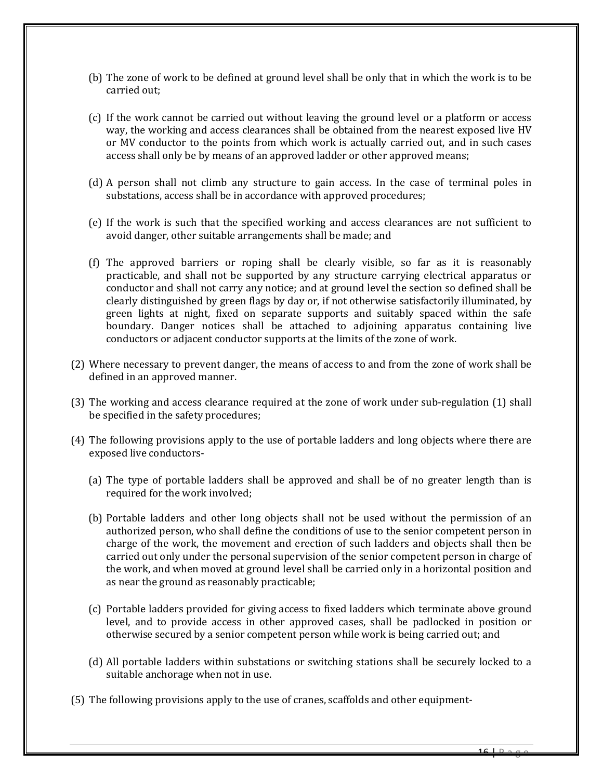- (b) The zone of work to be defined at ground level shall be only that in which the work is to be carried out;
- (c) If the work cannot be carried out without leaving the ground level or a platform or access way, the working and access clearances shall be obtained from the nearest exposed live HV or MV conductor to the points from which work is actually carried out, and in such cases access shall only be by means of an approved ladder or other approved means;
- (d) A person shall not climb any structure to gain access. In the case of terminal poles in substations, access shall be in accordance with approved procedures;
- (e) If the work is such that the specified working and access clearances are not sufficient to avoid danger, other suitable arrangements shall be made; and
- (f) The approved barriers or roping shall be clearly visible, so far as it is reasonably practicable, and shall not be supported by any structure carrying electrical apparatus or conductor and shall not carry any notice; and at ground level the section so defined shall be clearly distinguished by green flags by day or, if not otherwise satisfactorily illuminated, by green lights at night, fixed on separate supports and suitably spaced within the safe boundary. Danger notices shall be attached to adjoining apparatus containing live conductors or adjacent conductor supports at the limits of the zone of work.
- (2) Where necessary to prevent danger, the means of access to and from the zone of work shall be defined in an approved manner.
- (3) The working and access clearance required at the zone of work under sub-regulation (1) shall be specified in the safety procedures;
- (4) The following provisions apply to the use of portable ladders and long objects where there are exposed live conductors-
	- (a) The type of portable ladders shall be approved and shall be of no greater length than is required for the work involved;
	- (b) Portable ladders and other long objects shall not be used without the permission of an authorized person, who shall define the conditions of use to the senior competent person in charge of the work, the movement and erection of such ladders and objects shall then be carried out only under the personal supervision of the senior competent person in charge of the work, and when moved at ground level shall be carried only in a horizontal position and as near the ground as reasonably practicable;
	- (c) Portable ladders provided for giving access to fixed ladders which terminate above ground level, and to provide access in other approved cases, shall be padlocked in position or otherwise secured by a senior competent person while work is being carried out; and
	- (d) All portable ladders within substations or switching stations shall be securely locked to a suitable anchorage when not in use.
- (5) The following provisions apply to the use of cranes, scaffolds and other equipment-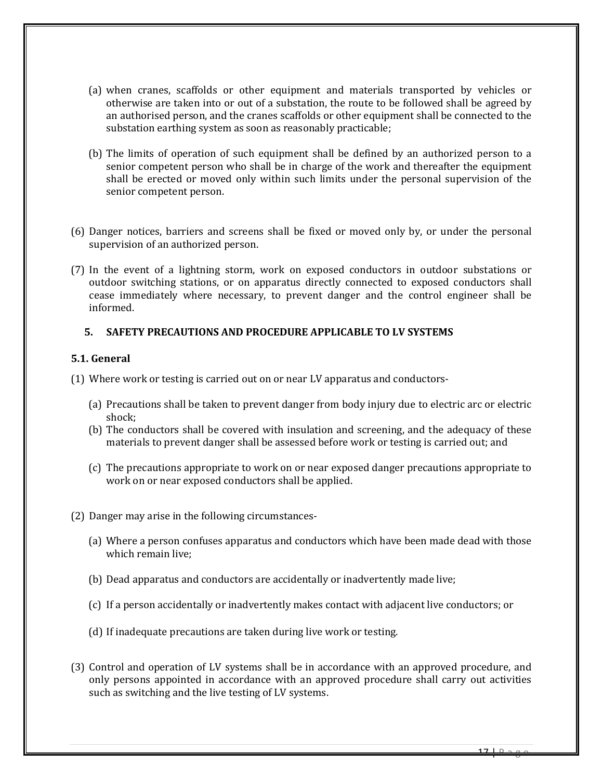- (a) when cranes, scaffolds or other equipment and materials transported by vehicles or otherwise are taken into or out of a substation, the route to be followed shall be agreed by an authorised person, and the cranes scaffolds or other equipment shall be connected to the substation earthing system as soon as reasonably practicable;
- (b) The limits of operation of such equipment shall be defined by an authorized person to a senior competent person who shall be in charge of the work and thereafter the equipment shall be erected or moved only within such limits under the personal supervision of the senior competent person.
- (6) Danger notices, barriers and screens shall be fixed or moved only by, or under the personal supervision of an authorized person.
- (7) In the event of a lightning storm, work on exposed conductors in outdoor substations or outdoor switching stations, or on apparatus directly connected to exposed conductors shall cease immediately where necessary, to prevent danger and the control engineer shall be informed.

#### <span id="page-16-0"></span>**5. SAFETY PRECAUTIONS AND PROCEDURE APPLICABLE TO LV SYSTEMS**

#### <span id="page-16-1"></span>**5.1. General**

(1) Where work or testing is carried out on or near LV apparatus and conductors-

- (a) Precautions shall be taken to prevent danger from body injury due to electric arc or electric shock;
- (b) The conductors shall be covered with insulation and screening, and the adequacy of these materials to prevent danger shall be assessed before work or testing is carried out; and
- (c) The precautions appropriate to work on or near exposed danger precautions appropriate to work on or near exposed conductors shall be applied.
- (2) Danger may arise in the following circumstances-
	- (a) Where a person confuses apparatus and conductors which have been made dead with those which remain live;
	- (b) Dead apparatus and conductors are accidentally or inadvertently made live;
	- (c) If a person accidentally or inadvertently makes contact with adjacent live conductors; or
	- (d) If inadequate precautions are taken during live work or testing.
- (3) Control and operation of LV systems shall be in accordance with an approved procedure, and only persons appointed in accordance with an approved procedure shall carry out activities such as switching and the live testing of LV systems.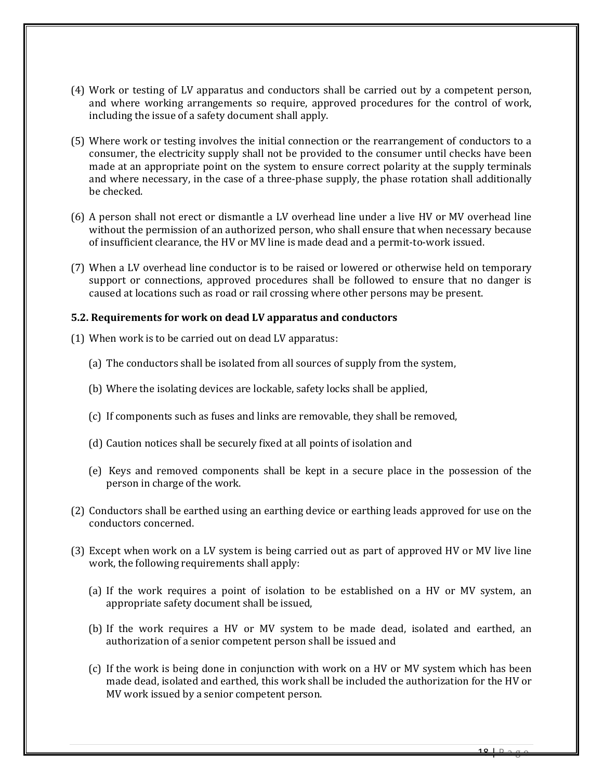- (4) Work or testing of LV apparatus and conductors shall be carried out by a competent person, and where working arrangements so require, approved procedures for the control of work, including the issue of a safety document shall apply.
- (5) Where work or testing involves the initial connection or the rearrangement of conductors to a consumer, the electricity supply shall not be provided to the consumer until checks have been made at an appropriate point on the system to ensure correct polarity at the supply terminals and where necessary, in the case of a three-phase supply, the phase rotation shall additionally be checked.
- (6) A person shall not erect or dismantle a LV overhead line under a live HV or MV overhead line without the permission of an authorized person, who shall ensure that when necessary because of insufficient clearance, the HV or MV line is made dead and a permit-to-work issued.
- (7) When a LV overhead line conductor is to be raised or lowered or otherwise held on temporary support or connections, approved procedures shall be followed to ensure that no danger is caused at locations such as road or rail crossing where other persons may be present.

#### <span id="page-17-0"></span>**5.2. Requirements for work on dead LV apparatus and conductors**

- (1) When work is to be carried out on dead LV apparatus:
	- (a) The conductors shall be isolated from all sources of supply from the system,
	- (b) Where the isolating devices are lockable, safety locks shall be applied,
	- (c) If components such as fuses and links are removable, they shall be removed,
	- (d) Caution notices shall be securely fixed at all points of isolation and
	- (e) Keys and removed components shall be kept in a secure place in the possession of the person in charge of the work.
- (2) Conductors shall be earthed using an earthing device or earthing leads approved for use on the conductors concerned.
- (3) Except when work on a LV system is being carried out as part of approved HV or MV live line work, the following requirements shall apply:
	- (a) If the work requires a point of isolation to be established on a HV or MV system, an appropriate safety document shall be issued,
	- (b) If the work requires a HV or MV system to be made dead, isolated and earthed, an authorization of a senior competent person shall be issued and
	- (c) If the work is being done in conjunction with work on a HV or MV system which has been made dead, isolated and earthed, this work shall be included the authorization for the HV or MV work issued by a senior competent person.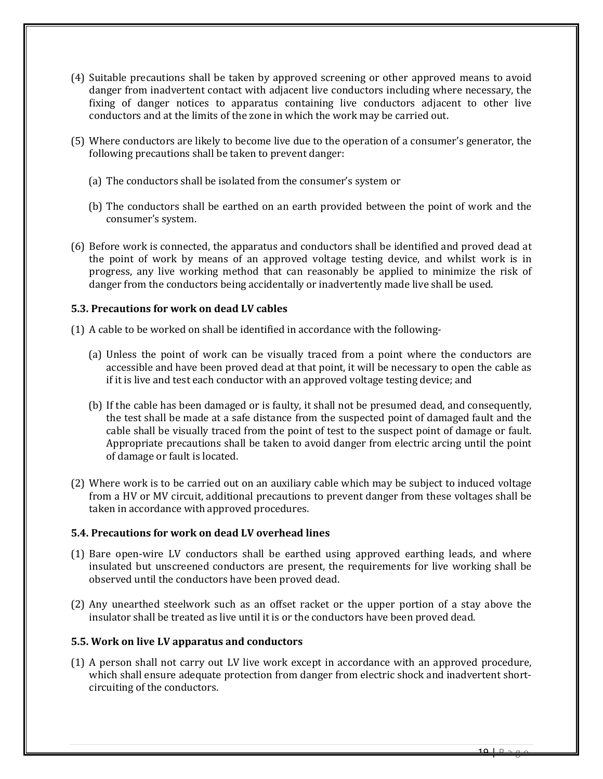- (4) Suitable precautions shall be taken by approved screening or other approved means to avoid danger from inadvertent contact with adjacent live conductors including where necessary, the fixing of danger notices to apparatus containing live conductors adjacent to other live conductors and at the limits of the zone in which the work may be carried out.
- (5) Where conductors are likely to become live due to the operation of a consumer's generator, the following precautions shall be taken to prevent danger:
	- (a) The conductors shall be isolated from the consumer's system or
	- (b) The conductors shall be earthed on an earth provided between the point of work and the consumer's system.
- (6) Before work is connected, the apparatus and conductors shall be identified and proved dead at the point of work by means of an approved voltage testing device, and whilst work is in progress, any live working method that can reasonably be applied to minimize the risk of danger from the conductors being accidentally or inadvertently made live shall be used.

# <span id="page-18-0"></span>**5.3. Precautions for work on dead LV cables**

- (1) A cable to be worked on shall be identified in accordance with the following-
	- (a) Unless the point of work can be visually traced from a point where the conductors are accessible and have been proved dead at that point, it will be necessary to open the cable as if it is live and test each conductor with an approved voltage testing device; and
	- (b) If the cable has been damaged or is faulty, it shall not be presumed dead, and consequently, the test shall be made at a safe distance from the suspected point of damaged fault and the cable shall be visually traced from the point of test to the suspect point of damage or fault. Appropriate precautions shall be taken to avoid danger from electric arcing until the point of damage or fault is located.
- (2) Where work is to be carried out on an auxiliary cable which may be subject to induced voltage from a HV or MV circuit, additional precautions to prevent danger from these voltages shall be taken in accordance with approved procedures.

# <span id="page-18-1"></span>**5.4. Precautions for work on dead LV overhead lines**

- (1) Bare open-wire LV conductors shall be earthed using approved earthing leads, and where insulated but unscreened conductors are present, the requirements for live working shall be observed until the conductors have been proved dead.
- (2) Any unearthed steelwork such as an offset racket or the upper portion of a stay above the insulator shall be treated as live until it is or the conductors have been proved dead.

# <span id="page-18-2"></span>**5.5. Work on live LV apparatus and conductors**

(1) A person shall not carry out LV live work except in accordance with an approved procedure, which shall ensure adequate protection from danger from electric shock and inadvertent shortcircuiting of the conductors.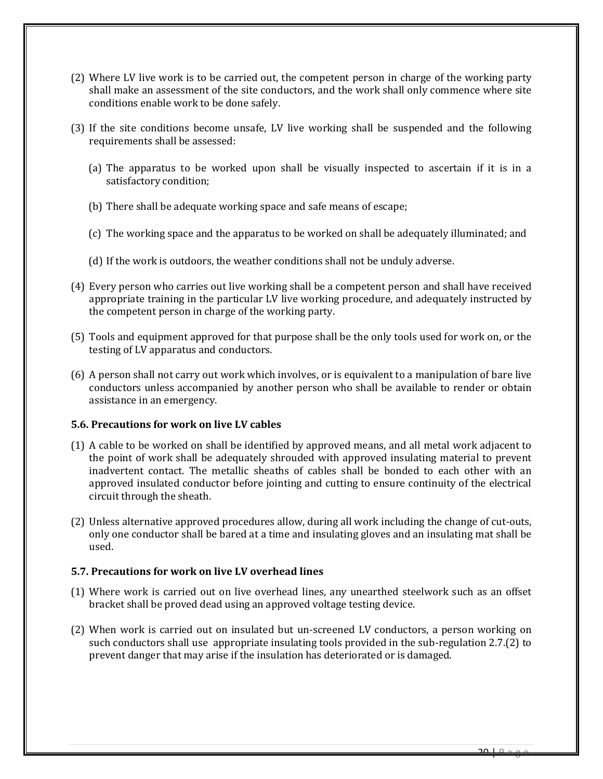- (2) Where LV live work is to be carried out, the competent person in charge of the working party shall make an assessment of the site conductors, and the work shall only commence where site conditions enable work to be done safely.
- (3) If the site conditions become unsafe, LV live working shall be suspended and the following requirements shall be assessed:
	- (a) The apparatus to be worked upon shall be visually inspected to ascertain if it is in a satisfactory condition;
	- (b) There shall be adequate working space and safe means of escape;
	- (c) The working space and the apparatus to be worked on shall be adequately illuminated; and
	- (d) If the work is outdoors, the weather conditions shall not be unduly adverse.
- (4) Every person who carries out live working shall be a competent person and shall have received appropriate training in the particular LV live working procedure, and adequately instructed by the competent person in charge of the working party.
- (5) Tools and equipment approved for that purpose shall be the only tools used for work on, or the testing of LV apparatus and conductors.
- (6) A person shall not carry out work which involves, or is equivalent to a manipulation of bare live conductors unless accompanied by another person who shall be available to render or obtain assistance in an emergency.

# <span id="page-19-0"></span>**5.6. Precautions for work on live LV cables**

- (1) A cable to be worked on shall be identified by approved means, and all metal work adjacent to the point of work shall be adequately shrouded with approved insulating material to prevent inadvertent contact. The metallic sheaths of cables shall be bonded to each other with an approved insulated conductor before jointing and cutting to ensure continuity of the electrical circuit through the sheath.
- (2) Unless alternative approved procedures allow, during all work including the change of cut-outs, only one conductor shall be bared at a time and insulating gloves and an insulating mat shall be used.

# <span id="page-19-1"></span>**5.7. Precautions for work on live LV overhead lines**

- (1) Where work is carried out on live overhead lines, any unearthed steelwork such as an offset bracket shall be proved dead using an approved voltage testing device.
- (2) When work is carried out on insulated but un-screened LV conductors, a person working on such conductors shall use appropriate insulating tools provided in the sub-regulation 2.7.(2) to prevent danger that may arise if the insulation has deteriorated or is damaged.